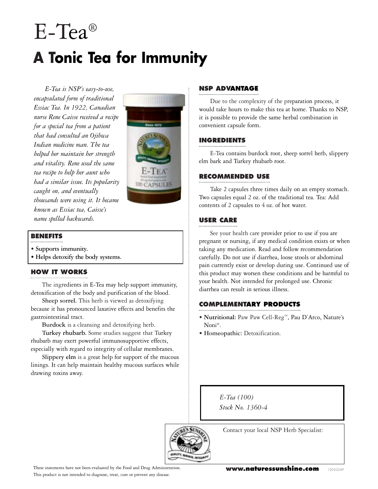# E-Tea® **A Tonic Tea for Immunity**

*E-Tea is NSP's easy-to-use, encapsulated form of traditional Essiac Tea. In 1922, Canadian nurse Rene Caisse received a recipe for a special tea from a patient that had consulted an Ojibwa Indian medicine man. The tea helped her maintain her strength and vitality. Rene used the same tea recipe to help her aunt who had a similar issue. Its popularity caught on, and eventually thousands were using it. It became known as Essiac tea, Caisse's name spelled backwards.*



## **BENEFITS**

- **• Supports immunity.**
- **Helps detoxify the body systems.**

### **HOW IT WORKS**

The ingredients in E-Tea may help support immunity, detoxification of the body and purification of the blood.

**Sheep sorrel.** This herb is viewed as detoxifying because it has pronounced laxative effects and benefits the gastrointestinal tract.

**Burdock** is a cleansing and detoxifying herb.

**Turkey rhubarb.** Some studies suggest that Turkey rhubarb may exert powerful immunosupportive effects, especially with regard to integrity of cellular membranes.

**Slippery elm** is a great help for support of the mucous linings. It can help maintain healthy mucous surfaces while drawing toxins away.

## **NSP ADVANTAGE**

Due to the complexity of the preparation process, it would take hours to make this tea at home. Thanks to NSP, it is possible to provide the same herbal combination in convenient capsule form.

# **INGREDIENTS**

E-Tea contains burdock root, sheep sorrel herb, slippery elm bark and Turkey rhubarb root.

### **RECOMMENDED USE**

Take 2 capsules three times daily on an empty stomach. Two capsules equal 2 oz. of the traditional tea. Tea: Add contents of 2 capsules to 4 oz. of hot water.

## **USER CARE**

See your health care provider prior to use if you are pregnant or nursing, if any medical condition exists or when taking any medication. Read and follow recommendation carefully. Do not use if diarrhea, loose stools or abdominal pain currently exist or develop during use. Continued use of this product may worsen these conditions and be harmful to your health. Not intended for prolonged use. Chronic diarrhea can result in serious illness.

### **COMPLEMENTARY PRODUCTS**

- **• Nutritional:** Paw Paw Cell-Reg™, Pau D'Arco, Nature's Noni®.
- **Homeopathic:** Detoxification.

*E-Tea (100) Stock No. 1360-4*

Contact your local NSP Herb Specialist: